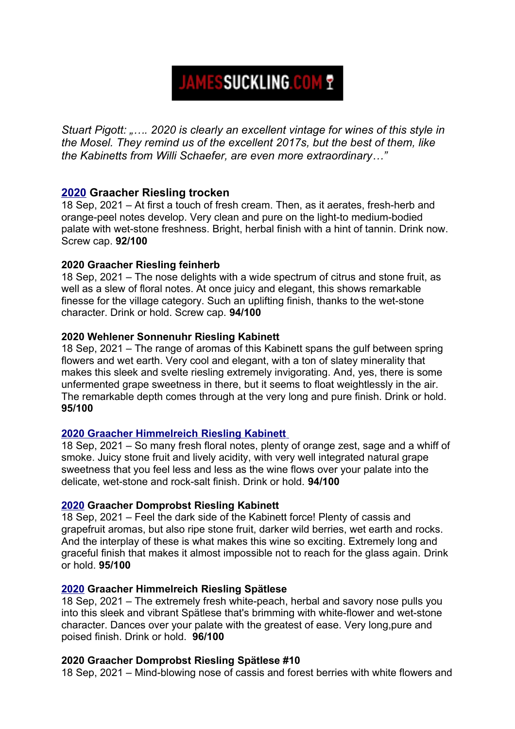# **JAMESSUCKLING.COM ?**

*Stuart Pigott: "…. 2020 is clearly an excellent vintage for wines of this style in the Mosel. They remind us of the excellent 2017s, but the best of them, like the Kabinetts from Willi Schaefer, are even more extraordinary…"*

# **[2020](https://www.jamessuckling.com/tasting-notes/163742/willi-schaefer-riesling-mosel-graacher-trocken-2020) Graacher Riesling trocken**

18 Sep, 2021 – At first a touch of fresh cream. Then, as it aerates, fresh-herb and orange-peel notes develop. Very clean and pure on the light-to medium-bodied palate with wet-stone freshness. Bright, herbal finish with a hint of tannin. Drink now. Screw cap. **92/100**

#### **2020 Graacher Riesling feinherb**

18 Sep, 2021 – The nose delights with a wide spectrum of citrus and stone fruit, as well as a slew of floral notes. At once juicy and elegant, this shows remarkable finesse for the village category. Such an uplifting finish, thanks to the wet-stone character. Drink or hold. Screw cap. **94/100**

#### **2020 Wehlener Sonnenuhr Riesling Kabinett**

18 Sep, 2021 – The range of aromas of this Kabinett spans the gulf between spring flowers and wet earth. Very cool and elegant, with a ton of slatey minerality that makes this sleek and svelte riesling extremely invigorating. And, yes, there is some unfermented grape sweetness in there, but it seems to float weightlessly in the air. The remarkable depth comes through at the very long and pure finish. Drink or hold. **95/100**

## **[2020 Graacher Himmelreich Riesling Kabinett](https://www.jamessuckling.com/tasting-notes/163587/willi-schaefer-riesling-mosel-himmelreich-kabinett-2020)**

18 Sep, 2021 – So many fresh floral notes, plenty of orange zest, sage and a whiff of smoke. Juicy stone fruit and lively acidity, with very well integrated natural grape sweetness that you feel less and less as the wine flows over your palate into the delicate, wet-stone and rock-salt finish. Drink or hold. **94/100**

## **[2020](https://www.jamessuckling.com/tasting-notes/163535/willi-schaefer-riesling-mosel-graacher-domprobst-kabinett-2020) Graacher Domprobst Riesling Kabinett**

18 Sep, 2021 – Feel the dark side of the Kabinett force! Plenty of cassis and grapefruit aromas, but also ripe stone fruit, darker wild berries, wet earth and rocks. And the interplay of these is what makes this wine so exciting. Extremely long and graceful finish that makes it almost impossible not to reach for the glass again. Drink or hold. **95/100**

#### **[2020](https://www.jamessuckling.com/tasting-notes/163507/willi-schaefer-riesling-mosel-graacher-himmelreich-spatlese-2020) Graacher Himmelreich Riesling Spätlese**

18 Sep, 2021 – The extremely fresh white-peach, herbal and savory nose pulls you into this sleek and vibrant Spätlese that's brimming with white-flower and wet-stone character. Dances over your palate with the greatest of ease. Very long,pure and poised finish. Drink or hold. **96/100**

#### **2020 Graacher Domprobst Riesling Spätlese #10**

18 Sep, 2021 – Mind-blowing nose of cassis and forest berries with white flowers and